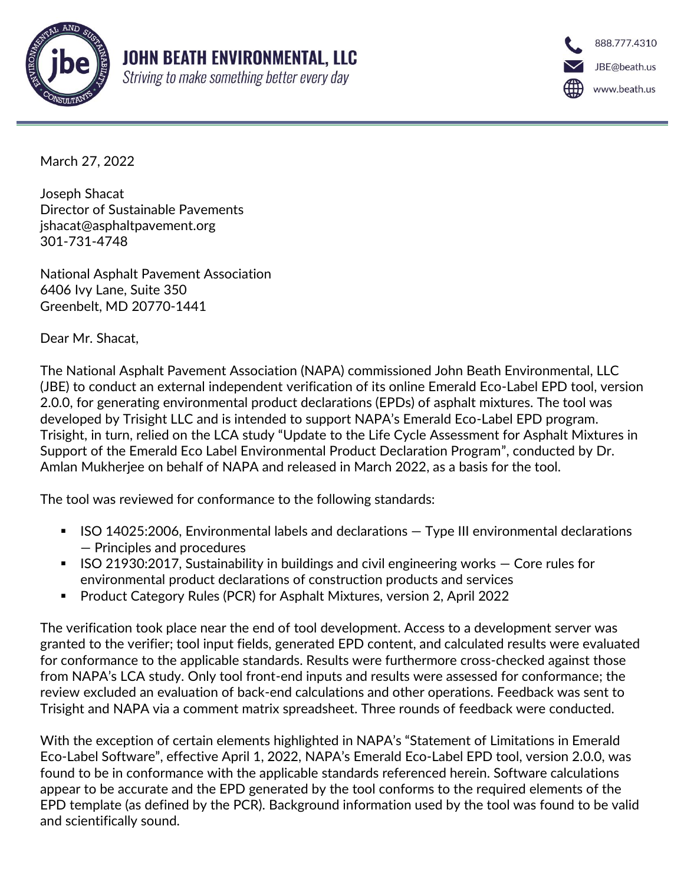

888.777.4310 JBE@beath.us www.beath.us

March 27, 2022

Joseph Shacat Director of Sustainable Pavements jshacat@asphaltpavement.org 301-731-4748

National Asphalt Pavement Association 6406 Ivy Lane, Suite 350 Greenbelt, MD 20770-1441

Dear Mr. Shacat,

The National Asphalt Pavement Association (NAPA) commissioned John Beath Environmental, LLC (JBE) to conduct an external independent verification of its online Emerald Eco-Label EPD tool, version 2.0.0, for generating environmental product declarations (EPDs) of asphalt mixtures. The tool was developed by Trisight LLC and is intended to support NAPA's Emerald Eco-Label EPD program. Trisight, in turn, relied on the LCA study "Update to the Life Cycle Assessment for Asphalt Mixtures in Support of the Emerald Eco Label Environmental Product Declaration Program", conducted by Dr. Amlan Mukherjee on behalf of NAPA and released in March 2022, as a basis for the tool.

The tool was reviewed for conformance to the following standards:

- ISO 14025:2006, Environmental labels and declarations Type III environmental declarations — Principles and procedures
- $\blacksquare$  ISO 21930:2017, Sustainability in buildings and civil engineering works  $\blacksquare$  Core rules for environmental product declarations of construction products and services
- Product Category Rules (PCR) for Asphalt Mixtures, version 2, April 2022

The verification took place near the end of tool development. Access to a development server was granted to the verifier; tool input fields, generated EPD content, and calculated results were evaluated for conformance to the applicable standards. Results were furthermore cross-checked against those from NAPA's LCA study. Only tool front-end inputs and results were assessed for conformance; the review excluded an evaluation of back-end calculations and other operations. Feedback was sent to Trisight and NAPA via a comment matrix spreadsheet. Three rounds of feedback were conducted.

With the exception of certain elements highlighted in NAPA's "Statement of Limitations in Emerald Eco-Label Software", effective April 1, 2022, NAPA's Emerald Eco-Label EPD tool, version 2.0.0, was found to be in conformance with the applicable standards referenced herein. Software calculations appear to be accurate and the EPD generated by the tool conforms to the required elements of the EPD template (as defined by the PCR). Background information used by the tool was found to be valid and scientifically sound.